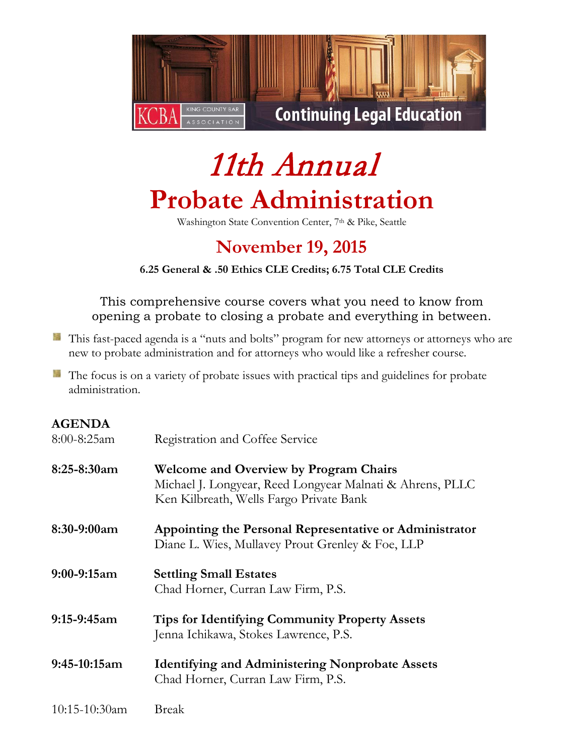

# 11th Annual **Probate Administration**

Washington State Convention Center, 7<sup>th</sup> & Pike, Seattle

# **November 19, 2015**

**6.25 General & .50 Ethics CLE Credits; 6.75 Total CLE Credits**

This comprehensive course covers what you need to know from opening a probate to closing a probate and everything in between.

- This fast-paced agenda is a "nuts and bolts" program for new attorneys or attorneys who are new to probate administration and for attorneys who would like a refresher course.
- **The focus is on a variety of probate issues with practical tips and guidelines for probate** administration.

## **AGENDA**

| $8:00 - 8:25$ am | Registration and Coffee Service                                                                                                                       |  |  |  |
|------------------|-------------------------------------------------------------------------------------------------------------------------------------------------------|--|--|--|
| $8:25-8:30am$    | <b>Welcome and Overview by Program Chairs</b><br>Michael J. Longyear, Reed Longyear Malnati & Ahrens, PLLC<br>Ken Kilbreath, Wells Fargo Private Bank |  |  |  |
| 8:30-9:00am      | Appointing the Personal Representative or Administrator<br>Diane L. Wies, Mullavey Prout Grenley & Foe, LLP                                           |  |  |  |
| $9:00-9:15am$    | <b>Settling Small Estates</b><br>Chad Horner, Curran Law Firm, P.S.                                                                                   |  |  |  |
| $9:15-9:45am$    | <b>Tips for Identifying Community Property Assets</b><br>Jenna Ichikawa, Stokes Lawrence, P.S.                                                        |  |  |  |
| $9:45-10:15am$   | <b>Identifying and Administering Nonprobate Assets</b><br>Chad Horner, Curran Law Firm, P.S.                                                          |  |  |  |
| $10:15-10:30am$  | Break                                                                                                                                                 |  |  |  |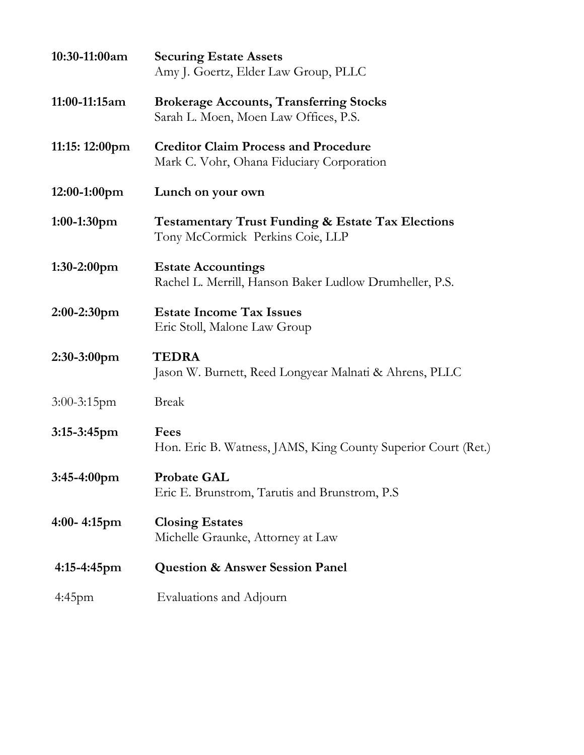| 10:30-11:00am    | <b>Securing Estate Assets</b><br>Amy J. Goertz, Elder Law Group, PLLC                            |  |  |  |
|------------------|--------------------------------------------------------------------------------------------------|--|--|--|
| 11:00-11:15am    | <b>Brokerage Accounts, Transferring Stocks</b><br>Sarah L. Moen, Moen Law Offices, P.S.          |  |  |  |
| 11:15: 12:00pm   | <b>Creditor Claim Process and Procedure</b><br>Mark C. Vohr, Ohana Fiduciary Corporation         |  |  |  |
| $12:00-1:00$ pm  | Lunch on your own                                                                                |  |  |  |
| $1:00-1:30$ pm   | <b>Testamentary Trust Funding &amp; Estate Tax Elections</b><br>Tony McCormick Perkins Coie, LLP |  |  |  |
| 1:30-2:00pm      | <b>Estate Accountings</b><br>Rachel L. Merrill, Hanson Baker Ludlow Drumheller, P.S.             |  |  |  |
| $2:00-2:30$ pm   | <b>Estate Income Tax Issues</b><br>Eric Stoll, Malone Law Group                                  |  |  |  |
| 2:30-3:00pm      | <b>TEDRA</b><br>Jason W. Burnett, Reed Longyear Malnati & Ahrens, PLLC                           |  |  |  |
| $3:00-3:15$ pm   | <b>Break</b>                                                                                     |  |  |  |
| $3:15-3:45$ pm   | Fees<br>Hon. Eric B. Watness, JAMS, King County Superior Court (Ret.)                            |  |  |  |
| 3:45-4:00pm      | <b>Probate GAL</b><br>Eric E. Brunstrom, Tarutis and Brunstrom, P.S.                             |  |  |  |
| $4:00 - 4:15$ pm | <b>Closing Estates</b><br>Michelle Graunke, Attorney at Law                                      |  |  |  |
| $4:15-4:45$ pm   | <b>Question &amp; Answer Session Panel</b>                                                       |  |  |  |
| 4:45pm           | Evaluations and Adjourn                                                                          |  |  |  |